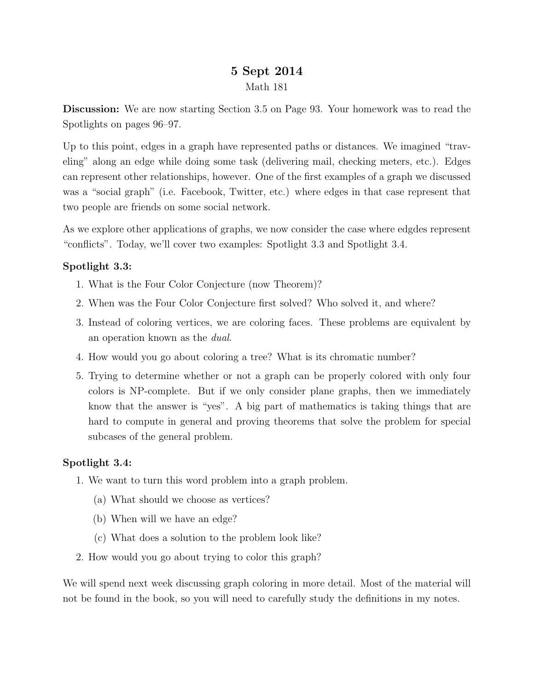# 5 Sept 2014 Math 181

Discussion: We are now starting Section 3.5 on Page 93. Your homework was to read the Spotlights on pages 96–97.

Up to this point, edges in a graph have represented paths or distances. We imagined "traveling" along an edge while doing some task (delivering mail, checking meters, etc.). Edges can represent other relationships, however. One of the first examples of a graph we discussed was a "social graph" (i.e. Facebook, Twitter, etc.) where edges in that case represent that two people are friends on some social network.

As we explore other applications of graphs, we now consider the case where edgdes represent "conflicts". Today, we'll cover two examples: Spotlight 3.3 and Spotlight 3.4.

## Spotlight 3.3:

- 1. What is the Four Color Conjecture (now Theorem)?
- 2. When was the Four Color Conjecture first solved? Who solved it, and where?
- 3. Instead of coloring vertices, we are coloring faces. These problems are equivalent by an operation known as the dual.
- 4. How would you go about coloring a tree? What is its chromatic number?
- 5. Trying to determine whether or not a graph can be properly colored with only four colors is NP-complete. But if we only consider plane graphs, then we immediately know that the answer is "yes". A big part of mathematics is taking things that are hard to compute in general and proving theorems that solve the problem for special subcases of the general problem.

#### Spotlight 3.4:

- 1. We want to turn this word problem into a graph problem.
	- (a) What should we choose as vertices?
	- (b) When will we have an edge?
	- (c) What does a solution to the problem look like?
- 2. How would you go about trying to color this graph?

We will spend next week discussing graph coloring in more detail. Most of the material will not be found in the book, so you will need to carefully study the definitions in my notes.